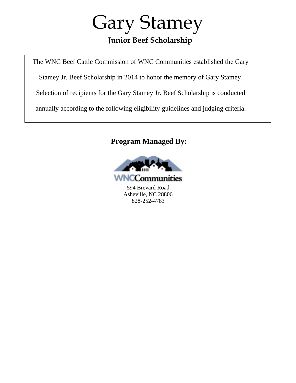# Gary Stamey **Junior Beef Scholarship**

The WNC Beef Cattle Commission of WNC Communities established the Gary

Stamey Jr. Beef Scholarship in 2014 to honor the memory of Gary Stamey.

Selection of recipients for the Gary Stamey Jr. Beef Scholarship is conducted

annually according to the following eligibility guidelines and judging criteria.

## **Program Managed By:**



**WNCCommunities** 594 Brevard Road Asheville, NC 28806 828-252-4783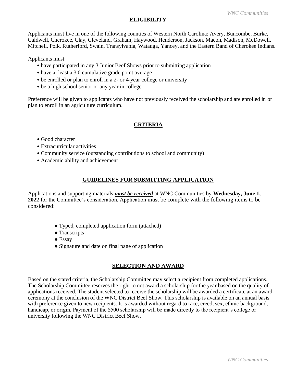#### **ELIGIBILITY**

Applicants must live in one of the following counties of Western North Carolina: Avery, Buncombe, Burke, Caldwell, Cherokee, Clay, Cleveland, Graham, Haywood, Henderson, Jackson, Macon, Madison, McDowell, Mitchell, Polk, Rutherford, Swain, Transylvania, Watauga, Yancey, and the Eastern Band of Cherokee Indians.

Applicants must:

- have participated in any 3 Junior Beef Shows prior to submitting application
- have at least a 3.0 cumulative grade point average
- be enrolled or plan to enroll in a 2- or 4-year college or university
- be a high school senior or any year in college

Preference will be given to applicants who have not previously received the scholarship and are enrolled in or plan to enroll in an agriculture curriculum.

## **CRITERIA**

- Good character
- Extracurricular activities
- Community service (outstanding contributions to school and community)
- Academic ability and achievement

## **GUIDELINES FOR SUBMITTING APPLICATION**

Applications and supporting materials *must be received* at WNC Communities by **Wednesday, June 1, 2022** for the Committee's consideration. Application must be complete with the following items to be considered:

- Typed, completed application form (attached)
- Transcripts
- Essay
- Signature and date on final page of application

## **SELECTION AND AWARD**

Based on the stated criteria, the Scholarship Committee may select a recipient from completed applications. The Scholarship Committee reserves the right to not award a scholarship for the year based on the quality of applications received. The student selected to receive the scholarship will be awarded a certificate at an award ceremony at the conclusion of the WNC District Beef Show. This scholarship is available on an annual basis with preference given to new recipients. It is awarded without regard to race, creed, sex, ethnic background, handicap, or origin. Payment of the \$500 scholarship will be made directly to the recipient's college or university following the WNC District Beef Show.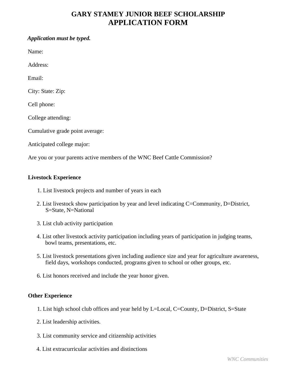## **GARY STAMEY JUNIOR BEEF SCHOLARSHIP APPLICATION FORM**

*Application must be typed.* 

Name:

Address:

Email:

City: State: Zip:

Cell phone:

College attending:

Cumulative grade point average:

Anticipated college major:

Are you or your parents active members of the WNC Beef Cattle Commission?

## **Livestock Experience**

- 1. List livestock projects and number of years in each
- 2. List livestock show participation by year and level indicating C=Community, D=District, S=State, N=National
- 3. List club activity participation
- 4. List other livestock activity participation including years of participation in judging teams, bowl teams, presentations, etc.
- 5. List livestock presentations given including audience size and year for agriculture awareness, field days, workshops conducted, programs given to school or other groups, etc.
- 6. List honors received and include the year honor given.

## **Other Experience**

- 1. List high school club offices and year held by L=Local, C=County, D=District, S=State
- 2. List leadership activities.
- 3. List community service and citizenship activities
- 4. List extracurricular activities and distinctions